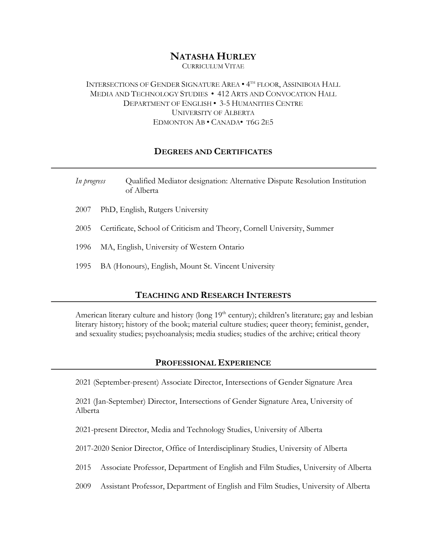# **NATASHA HURLEY**

CURRICULUM VITAE

INTERSECTIONS OF GENDER SIGNATURE AREA • 4TH FLOOR, ASSINIBOIA HALL MEDIA AND TECHNOLOGY STUDIES • 412 ARTS AND CONVOCATION HALL DEPARTMENT OF ENGLISH • 3-5 HUMANITIES CENTRE UNIVERSITY OF ALBERTA EDMONTON AB • CANADA• T6G 2E5

### **DEGREES AND CERTIFICATES**

| In progress | Qualified Mediator designation: Alternative Dispute Resolution Institution<br>of Alberta |  |  |
|-------------|------------------------------------------------------------------------------------------|--|--|
| 2007        | PhD, English, Rutgers University                                                         |  |  |
| 2005        | Certificate, School of Criticism and Theory, Cornell University, Summer                  |  |  |
| -1996       | MA, English, University of Western Ontario                                               |  |  |
| 1995        | BA (Honours), English, Mount St. Vincent University                                      |  |  |

### **TEACHING AND RESEARCH INTERESTS**

American literary culture and history (long  $19<sup>th</sup>$  century); children's literature; gay and lesbian literary history; history of the book; material culture studies; queer theory; feminist, gender, and sexuality studies; psychoanalysis; media studies; studies of the archive; critical theory

#### **PROFESSIONAL EXPERIENCE**

2021 (September-present) Associate Director, Intersections of Gender Signature Area

2021 (Jan-September) Director, Intersections of Gender Signature Area, University of Alberta

2021-present Director, Media and Technology Studies, University of Alberta

2017-2020 Senior Director, Office of Interdisciplinary Studies, University of Alberta

2015 Associate Professor, Department of English and Film Studies, University of Alberta

2009 Assistant Professor, Department of English and Film Studies, University of Alberta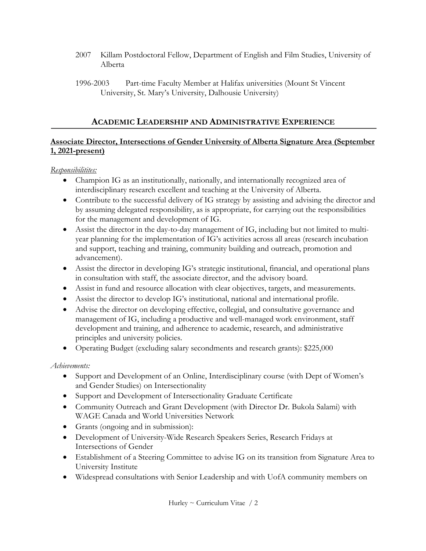- 2007 Killam Postdoctoral Fellow, Department of English and Film Studies, University of Alberta
- 1996-2003 Part-time Faculty Member at Halifax universities (Mount St Vincent University, St. Mary's University, Dalhousie University)

## **ACADEMIC LEADERSHIP AND ADMINISTRATIVE EXPERIENCE**

## **Associate Director, Intersections of Gender University of Alberta Signature Area (September 1, 2021-present)**

### *Responsibilitites:*

- Champion IG as an institutionally, nationally, and internationally recognized area of interdisciplinary research excellent and teaching at the University of Alberta.
- Contribute to the successful delivery of IG strategy by assisting and advising the director and by assuming delegated responsibility, as is appropriate, for carrying out the responsibilities for the management and development of IG.
- Assist the director in the day-to-day management of IG, including but not limited to multiyear planning for the implementation of IG's activities across all areas (research incubation and support, teaching and training, community building and outreach, promotion and advancement).
- Assist the director in developing IG's strategic institutional, financial, and operational plans in consultation with staff, the associate director, and the advisory board.
- Assist in fund and resource allocation with clear objectives, targets, and measurements.
- Assist the director to develop IG's institutional, national and international profile.
- Advise the director on developing effective, collegial, and consultative governance and management of IG, including a productive and well-managed work environment, staff development and training, and adherence to academic, research, and administrative principles and university policies.
- Operating Budget (excluding salary secondments and research grants): \$225,000

## *Achievements:*

- Support and Development of an Online, Interdisciplinary course (with Dept of Women's and Gender Studies) on Intersectionality
- Support and Development of Intersectionality Graduate Certificate
- Community Outreach and Grant Development (with Director Dr. Bukola Salami) with WAGE Canada and World Universities Network
- Grants (ongoing and in submission):
- Development of University-Wide Research Speakers Series, Research Fridays at Intersections of Gender
- Establishment of a Steering Committee to advise IG on its transition from Signature Area to University Institute
- Widespread consultations with Senior Leadership and with UofA community members on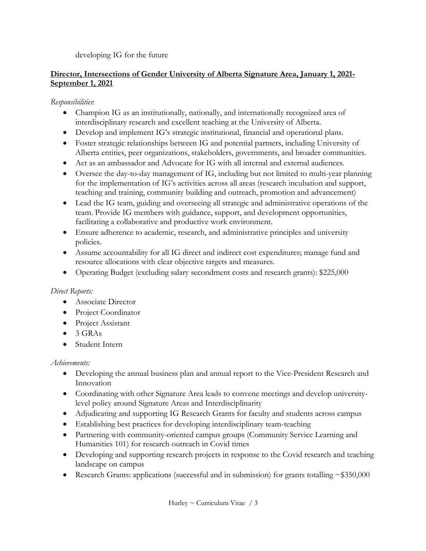developing IG for the future

## **Director, Intersections of Gender University of Alberta Signature Area, January 1, 2021- September 1, 2021**

*Responsibilities*:

- Champion IG as an institutionally, nationally, and internationally recognized area of interdisciplinary research and excellent teaching at the University of Alberta.
- Develop and implement IG's strategic institutional, financial and operational plans.
- Foster strategic relationships between IG and potential partners, including University of Alberta entities, peer organizations, stakeholders, governments, and broader communities.
- Act as an ambassador and Advocate for IG with all internal and external audiences.
- Oversee the day-to-day management of IG, including but not limited to multi-year planning for the implementation of IG's activities across all areas (research incubation and support, teaching and training, community building and outreach, promotion and advancement)
- Lead the IG team, guiding and overseeing all strategic and administrative operations of the team. Provide IG members with guidance, support, and development opportunities, facilitating a collaborative and productive work environment.
- Ensure adherence to academic, research, and administrative principles and university policies.
- Assume accountability for all IG direct and indirect cost expenditures; manage fund and resource allocations with clear objective targets and measures.
- Operating Budget (excluding salary secondment costs and research grants): \$225,000

## *Direct Reports:*

- Associate Director
- Project Coordinator
- Project Assistant
- $\bullet$  3 GRAs
- Student Intern

## *Achievements:*

- Developing the annual business plan and annual report to the Vice-President Research and Innovation
- Coordinating with other Signature Area leads to convene meetings and develop universitylevel policy around Signature Areas and Interdisciplinarity
- Adjudicating and supporting IG Research Grants for faculty and students across campus
- Establishing best practices for developing interdisciplinary team-teaching
- Partnering with community-oriented campus groups (Community Service Learning and Humanities 101) for research outreach in Covid times
- Developing and supporting research projects in response to the Covid research and teaching landscape on campus
- Research Grants: applications (successful and in submission) for grants totalling  $\sim$ \$350,000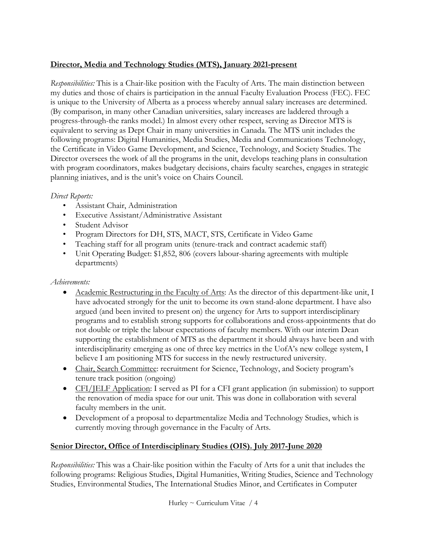## **Director, Media and Technology Studies (MTS), January 2021-present**

*Responsibilities:* This is a Chair-like position with the Faculty of Arts. The main distinction between my duties and those of chairs is participation in the annual Faculty Evaluation Process (FEC). FEC is unique to the University of Alberta as a process whereby annual salary increases are determined. (By comparison, in many other Canadian universities, salary increases are laddered through a progress-through-the ranks model.) In almost every other respect, serving as Director MTS is equivalent to serving as Dept Chair in many universities in Canada. The MTS unit includes the following programs: Digital Humanities, Media Studies, Media and Communications Technology, the Certificate in Video Game Development, and Science, Technology, and Society Studies. The Director oversees the work of all the programs in the unit, develops teaching plans in consultation with program coordinators, makes budgetary decisions, chairs faculty searches, engages in strategic planning iniatives, and is the unit's voice on Chairs Council.

### *Direct Reports:*

- Assistant Chair, Administration
- Executive Assistant/Administrative Assistant
- Student Advisor
- Program Directors for DH, STS, MACT, STS, Certificate in Video Game
- Teaching staff for all program units (tenure-track and contract academic staff)
- Unit Operating Budget: \$1,852, 806 (covers labour-sharing agreements with multiple departments)

## *Achievements:*

- Academic Restructuring in the Faculty of Arts: As the director of this department-like unit, I have advocated strongly for the unit to become its own stand-alone department. I have also argued (and been invited to present on) the urgency for Arts to support interdisciplinary programs and to establish strong supports for collaborations and cross-appointments that do not double or triple the labour expectations of faculty members. With our interim Dean supporting the establishment of MTS as the department it should always have been and with interdisciplinarity emerging as one of three key metrics in the UofA's new college system, I believe I am positioning MTS for success in the newly restructured university.
- Chair, Search Committee: recruitment for Science, Technology, and Society program's tenure track position (ongoing)
- CFI/JELF Application: I served as PI for a CFI grant application (in submission) to support the renovation of media space for our unit. This was done in collaboration with several faculty members in the unit.
- Development of a proposal to departmentalize Media and Technology Studies, which is currently moving through governance in the Faculty of Arts.

## **Senior Director, Office of Interdisciplinary Studies (OIS). July 2017-June 2020**

*Responsibilities:* This was a Chair-like position within the Faculty of Arts for a unit that includes the following programs: Religious Studies, Digital Humanities, Writing Studies, Science and Technology Studies, Environmental Studies, The International Studies Minor, and Certificates in Computer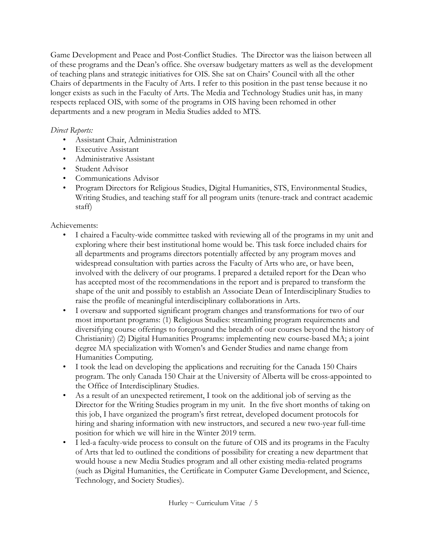Game Development and Peace and Post-Conflict Studies. The Director was the liaison between all of these programs and the Dean's office. She oversaw budgetary matters as well as the development of teaching plans and strategic initiatives for OIS. She sat on Chairs' Council with all the other Chairs of departments in the Faculty of Arts. I refer to this position in the past tense because it no longer exists as such in the Faculty of Arts. The Media and Technology Studies unit has, in many respects replaced OIS, with some of the programs in OIS having been rehomed in other departments and a new program in Media Studies added to MTS.

## *Direct Reports:*

- Assistant Chair, Administration
- Executive Assistant
- Administrative Assistant
- Student Advisor
- Communications Advisor
- Program Directors for Religious Studies, Digital Humanities, STS, Environmental Studies, Writing Studies, and teaching staff for all program units (tenure-track and contract academic staff)

Achievements:

- I chaired a Faculty-wide committee tasked with reviewing all of the programs in my unit and exploring where their best institutional home would be. This task force included chairs for all departments and programs directors potentially affected by any program moves and widespread consultation with parties across the Faculty of Arts who are, or have been, involved with the delivery of our programs. I prepared a detailed report for the Dean who has accepted most of the recommendations in the report and is prepared to transform the shape of the unit and possibly to establish an Associate Dean of Interdisciplinary Studies to raise the profile of meaningful interdisciplinary collaborations in Arts.
- I oversaw and supported significant program changes and transformations for two of our most important programs: (1) Religious Studies: streamlining program requirements and diversifying course offerings to foreground the breadth of our courses beyond the history of Christianity) (2) Digital Humanities Programs: implementing new course-based MA; a joint degree MA specialization with Women's and Gender Studies and name change from Humanities Computing.
- I took the lead on developing the applications and recruiting for the Canada 150 Chairs program. The only Canada 150 Chair at the University of Alberta will be cross-appointed to the Office of Interdisciplinary Studies.
- As a result of an unexpected retirement, I took on the additional job of serving as the Director for the Writing Studies program in my unit. In the five short months of taking on this job, I have organized the program's first retreat, developed document protocols for hiring and sharing information with new instructors, and secured a new two-year full-time position for which we will hire in the Winter 2019 term.
- I led-a faculty-wide process to consult on the future of OIS and its programs in the Faculty of Arts that led to outlined the conditions of possibility for creating a new department that would house a new Media Studies program and all other existing media-related programs (such as Digital Humanities, the Certificate in Computer Game Development, and Science, Technology, and Society Studies).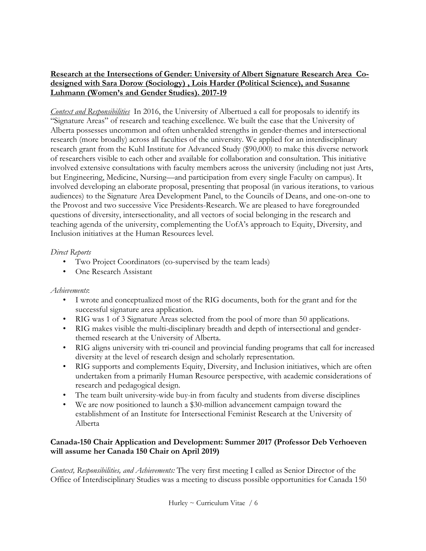## **Research at the Intersections of Gender: University of Albert Signature Research Area Codesigned with Sara Dorow (Sociology) , Lois Harder (Political Science), and Susanne Luhmann (Women's and Gender Studies). 2017-19**

*Context and Responsibilities* In 2016, the University of Albertued a call for proposals to identify its "Signature Areas" of research and teaching excellence. We built the case that the University of Alberta possesses uncommon and often unheralded strengths in gender-themes and intersectional research (more broadly) across all faculties of the university. We applied for an interdisciplinary research grant from the Kuhl Institute for Advanced Study (\$90,000) to make this diverse network of researchers visible to each other and available for collaboration and consultation. This initiative involved extensive consultations with faculty members across the university (including not just Arts, but Engineering, Medicine, Nursing—and participation from every single Faculty on campus). It involved developing an elaborate proposal, presenting that proposal (in various iterations, to various audiences) to the Signature Area Development Panel, to the Councils of Deans, and one-on-one to the Provost and two successive Vice Presidents-Research. We are pleased to have foregrounded questions of diversity, intersectionality, and all vectors of social belonging in the research and teaching agenda of the university, complementing the UofA's approach to Equity, Diversity, and Inclusion initiatives at the Human Resources level.

### *Direct Reports*

- Two Project Coordinators (co-supervised by the team leads)
- One Research Assistant

## *Achievements*:

- I wrote and conceptualized most of the RIG documents, both for the grant and for the successful signature area application.
- RIG was 1 of 3 Signature Areas selected from the pool of more than 50 applications.
- RIG makes visible the multi-disciplinary breadth and depth of intersectional and genderthemed research at the University of Alberta.
- RIG aligns university with tri-council and provincial funding programs that call for increased diversity at the level of research design and scholarly representation.
- RIG supports and complements Equity, Diversity, and Inclusion initiatives, which are often undertaken from a primarily Human Resource perspective, with academic considerations of research and pedagogical design.
- The team built university-wide buy-in from faculty and students from diverse disciplines
- We are now positioned to launch a \$30-million advancement campaign toward the establishment of an Institute for Intersectional Feminist Research at the University of Alberta

## **Canada-150 Chair Application and Development: Summer 2017 (Professor Deb Verhoeven will assume her Canada 150 Chair on April 2019)**

*Context, Responsibilities, and Achievements:* The very first meeting I called as Senior Director of the Office of Interdisciplinary Studies was a meeting to discuss possible opportunities for Canada 150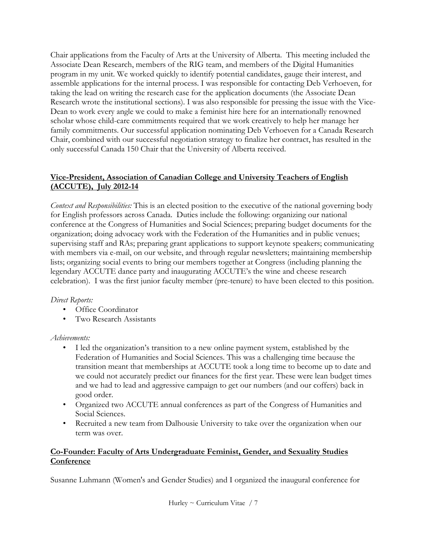Chair applications from the Faculty of Arts at the University of Alberta. This meeting included the Associate Dean Research, members of the RIG team, and members of the Digital Humanities program in my unit. We worked quickly to identify potential candidates, gauge their interest, and assemble applications for the internal process. I was responsible for contacting Deb Verhoeven, for taking the lead on writing the research case for the application documents (the Associate Dean Research wrote the institutional sections). I was also responsible for pressing the issue with the Vice-Dean to work every angle we could to make a feminist hire here for an internationally renowned scholar whose child-care commitments required that we work creatively to help her manage her family commitments. Our successful application nominating Deb Verhoeven for a Canada Research Chair, combined with our successful negotiation strategy to finalize her contract, has resulted in the only successful Canada 150 Chair that the University of Alberta received.

## **Vice-President, Association of Canadian College and University Teachers of English (ACCUTE), July 2012-14**

*Context and Responsibilities:* This is an elected position to the executive of the national governing body for English professors across Canada. Duties include the following: organizing our national conference at the Congress of Humanities and Social Sciences; preparing budget documents for the organization; doing advocacy work with the Federation of the Humanities and in public venues; supervising staff and RAs; preparing grant applications to support keynote speakers; communicating with members via e-mail, on our website, and through regular newsletters; maintaining membership lists; organizing social events to bring our members together at Congress (including planning the legendary ACCUTE dance party and inaugurating ACCUTE's the wine and cheese research celebration). I was the first junior faculty member (pre-tenure) to have been elected to this position.

## *Direct Reports:*

- Office Coordinator
- Two Research Assistants

## *Achievements:*

- I led the organization's transition to a new online payment system, established by the Federation of Humanities and Social Sciences. This was a challenging time because the transition meant that memberships at ACCUTE took a long time to become up to date and we could not accurately predict our finances for the first year. These were lean budget times and we had to lead and aggressive campaign to get our numbers (and our coffers) back in good order.
- Organized two ACCUTE annual conferences as part of the Congress of Humanities and Social Sciences.
- Recruited a new team from Dalhousie University to take over the organization when our term was over.

## **Co-Founder: Faculty of Arts Undergraduate Feminist, Gender, and Sexuality Studies Conference**

Susanne Luhmann (Women's and Gender Studies) and I organized the inaugural conference for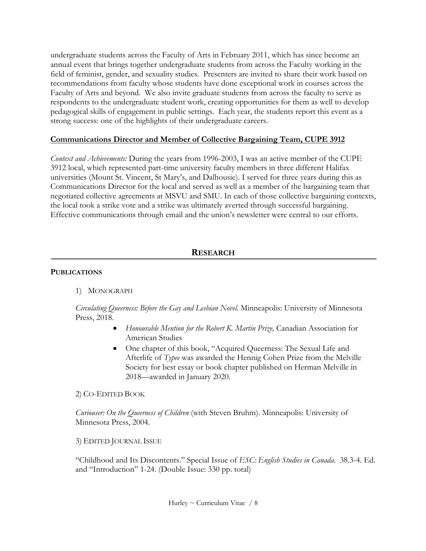undergraduate students across the Faculty of Arts in February 2011, which has since become an annual event that brings together undergraduate students from across the Faculty working in the field of feminist, gender, and sexuality studies. Presenters are invited to share their work based on recommendations from faculty whose students have done exceptional work in courses across the Faculty of Arts and beyond. We also invite graduate students from across the faculty to serve as respondents to the undergraduate student work, creating opportunities for them as well to develop pedagogical skills of engagement in public settings. Each year, the students report this event as a strong success: one of the highlights of their undergraduate careers.

### **Communications Director and Member of Collective Bargaining Team, CUPE 3912**

*Context and Achievements:* During the years from 1996-2003, I was an active member of the CUPE 3912 local, which represented part-time university faculty members in three different Halifax universities (Mount St. Vincent, St Mary's, and Dalhousie). I served for three years during this as Communications Director for the local and served as well as a member of the bargaining team that negotiated collective agreements at MSVU and SMU. In each of those collective bargaining contexts, the local took a strike vote and a strike was ultimately averted through successful bargaining. Effective communications through email and the union's newsletter were central to our efforts.

## **RESEARCH**

### **PUBLICATIONS**

### 1) MONOGRAPH

*Circulating Queerness: Before the Gay and Lesbian Novel.* Minneapolis: University of Minnesota Press, 2018.

- *Honourable Mention for the Robert K. Martin Prize,* Canadian Association for American Studies
- One chapter of this book, "Acquired Queerness: The Sexual Life and Afterlife of *Typee* was awarded the Hennig Cohen Prize from the Melville Society for best essay or book chapter published on Herman Melville in 2018—awarded in January 2020.

2) CO-EDITED BOOK

*Curiouser: On the Queerness of Children* (with Steven Bruhm). Minneapolis: University of Minnesota Press, 2004.

3) EDITED JOURNAL ISSUE

"Childhood and Its Discontents." Special Issue of *ESC: English Studies in Canada*. 38.3-4. Ed. and "Introduction" 1-24. (Double Issue: 330 pp. total)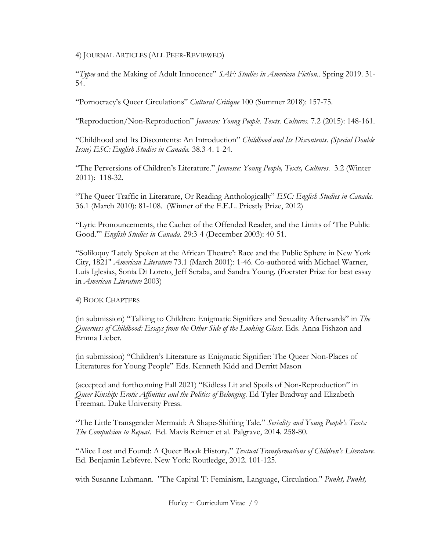4) JOURNAL ARTICLES (ALL PEER-REVIEWED)

"*Typee* and the Making of Adult Innocence" *SAF: Studies in American Fiction..* Spring 2019. 31- 54.

"Pornocracy's Queer Circulations" *Cultural Critique* 100 (Summer 2018): 157-75.

"Reproduction/Non-Reproduction" *Jeunesse: Young People. Texts. Cultures.* 7.2 (2015): 148-161.

"Childhood and Its Discontents: An Introduction" *Childhood and Its Discontents. (Special Double Issue) ESC: English Studies in Canada.* 38.3-4. 1-24.

"The Perversions of Children's Literature." *Jeunesse: Young People, Texts, Cultures*. 3.2 (Winter 2011): 118-32.

"The Queer Traffic in Literature, Or Reading Anthologically" *ESC: English Studies in Canada.*  36.1 (March 2010): 81-108. (Winner of the F.E.L. Priestly Prize, 2012)

"Lyric Pronouncements, the Cachet of the Offended Reader, and the Limits of 'The Public Good.'" *English Studies in Canada*. 29:3-4 (December 2003): 40-51.

"Soliloquy 'Lately Spoken at the African Theatre': Race and the Public Sphere in New York City, 1821" *American Literature* 73.1 (March 2001): 1-46. Co-authored with Michael Warner, Luis Iglesias, Sonia Di Loreto, Jeff Scraba, and Sandra Young. (Foerster Prize for best essay in *American Literature* 2003)

### 4) BOOK CHAPTERS

(in submission) "Talking to Children: Enigmatic Signifiers and Sexuality Afterwards" in *The Queerness of Childhood: Essays from the Other Side of the Looking Glass*. Eds. Anna Fishzon and Emma Lieber*.*

(in submission) "Children's Literature as Enigmatic Signifier: The Queer Non-Places of Literatures for Young People" Eds. Kenneth Kidd and Derritt Mason

(accepted and forthcoming Fall 2021) "Kidless Lit and Spoils of Non-Reproduction" in *Queer Kinship: Erotic Affinities and the Politics of Belonging*. Ed Tyler Bradway and Elizabeth Freeman. Duke University Press.

"The Little Transgender Mermaid: A Shape-Shifting Tale." *Seriality and Young People's Texts: The Compulsion to Repeat.* Ed. Mavis Reimer et al. Palgrave, 2014. 258-80.

"Alice Lost and Found: A Queer Book History." *Textual Transformations of Children's Literature*. Ed. Benjamin Lebfevre. New York: Routledge, 2012. 101-125.

with Susanne Luhmann. "The Capital 'I': Feminism, Language, Circulation." *Punkt, Punkt,*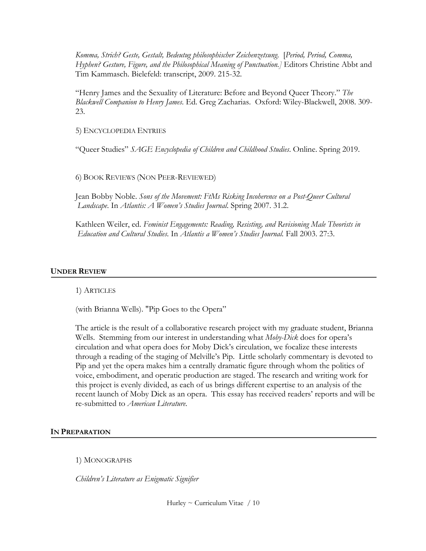*Komma, Strich? Geste, Gestalt, Bedeutug philosophischer Zeichenzetsung*. [*Period, Period, Comma, Hyphen? Gesture, Figure, and the Philosophical Meaning of Punctuation.]* Editors Christine Abbt and Tim Kammasch. Bielefeld: transcript, 2009. 215-32.

"Henry James and the Sexuality of Literature: Before and Beyond Queer Theory." *The Blackwell Companion to Henry James*. Ed. Greg Zacharias. Oxford: Wiley-Blackwell, 2008. 309- 23.

5) ENCYCLOPEDIA ENTRIES

"Queer Studies" *SAGE Encyclopedia of Children and Childhood Studies*. Online. Spring 2019.

6) BOOK REVIEWS (NON PEER-REVIEWED)

Jean Bobby Noble. *Sons of the Movement: FtMs Risking Incoherence on a Post-Queer Cultural Landscape*. In *Atlantis: A Women's Studies Journal*. Spring 2007. 31.2.

Kathleen Weiler, ed. *Feminist Engagements: Reading, Resisting, and Revisioning Male Theorists in Education and Cultural Studies*. In *Atlantis a Women's Studies Journal.* Fall 2003. 27:3.

#### **UNDER REVIEW**

1) ARTICLES

(with Brianna Wells). "Pip Goes to the Opera"

The article is the result of a collaborative research project with my graduate student, Brianna Wells. Stemming from our interest in understanding what *Moby-Dick* does for opera's circulation and what opera does for Moby Dick's circulation, we focalize these interests through a reading of the staging of Melville's Pip. Little scholarly commentary is devoted to Pip and yet the opera makes him a centrally dramatic figure through whom the politics of voice, embodiment, and operatic production are staged. The research and writing work for this project is evenly divided, as each of us brings different expertise to an analysis of the recent launch of Moby Dick as an opera. This essay has received readers' reports and will be re-submitted to *American Literature*.

#### **IN PREPARATION**

1) MONOGRAPHS

*Children's Literature as Enigmatic Signifier* 

Hurley  $\sim$  Curriculum Vitae / 10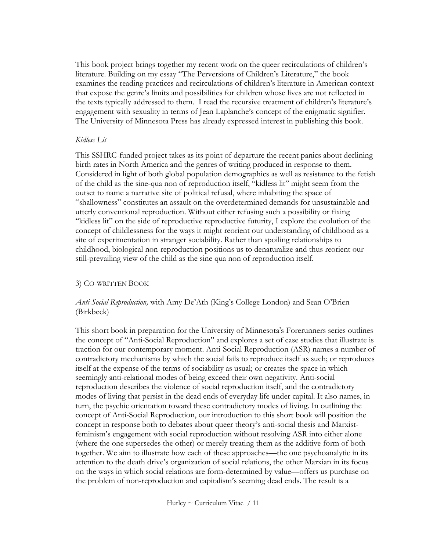This book project brings together my recent work on the queer recirculations of children's literature. Building on my essay "The Perversions of Children's Literature," the book examines the reading practices and recirculations of children's literature in American context that expose the genre's limits and possibilities for children whose lives are not reflected in the texts typically addressed to them. I read the recursive treatment of children's literature's engagement with sexuality in terms of Jean Laplanche's concept of the enigmatic signifier. The University of Minnesota Press has already expressed interest in publishing this book.

#### *Kidless Lit*

This SSHRC-funded project takes as its point of departure the recent panics about declining birth rates in North America and the genres of writing produced in response to them. Considered in light of both global population demographics as well as resistance to the fetish of the child as the sine-qua non of reproduction itself, "kidless lit" might seem from the outset to name a narrative site of political refusal, where inhabiting the space of "shallowness" constitutes an assault on the overdetermined demands for unsustainable and utterly conventional reproduction. Without either refusing such a possibility or fixing "kidless lit" on the side of reproductive reproductive futurity, I explore the evolution of the concept of childlessness for the ways it might reorient our understanding of childhood as a site of experimentation in stranger sociability. Rather than spoiling relationships to childhood, biological non-reproduction positions us to denaturalize and thus reorient our still-prevailing view of the child as the sine qua non of reproduction itself.

### 3) CO-WRITTEN BOOK

### *Anti-Social Reproduction,* with Amy De'Ath (King's College London) and Sean O'Brien (Birkbeck)

This short book in preparation for the University of Minnesota's Forerunners series outlines the concept of "Anti-Social Reproduction" and explores a set of case studies that illustrate is traction for our contemporary moment. Anti-Social Reproduction (ASR) names a number of contradictory mechanisms by which the social fails to reproduce itself as such; or reproduces itself at the expense of the terms of sociability as usual; or creates the space in which seemingly anti-relational modes of being exceed their own negativity. Anti-social reproduction describes the violence of social reproduction itself, and the contradictory modes of living that persist in the dead ends of everyday life under capital. It also names, in turn, the psychic orientation toward these contradictory modes of living. In outlining the concept of Anti-Social Reproduction, our introduction to this short book will position the concept in response both to debates about queer theory's anti-social thesis and Marxistfeminism's engagement with social reproduction without resolving ASR into either alone (where the one supersedes the other) or merely treating them as the additive form of both together. We aim to illustrate how each of these approaches—the one psychoanalytic in its attention to the death drive's organization of social relations, the other Marxian in its focus on the ways in which social relations are form-determined by value—offers us purchase on the problem of non-reproduction and capitalism's seeming dead ends. The result is a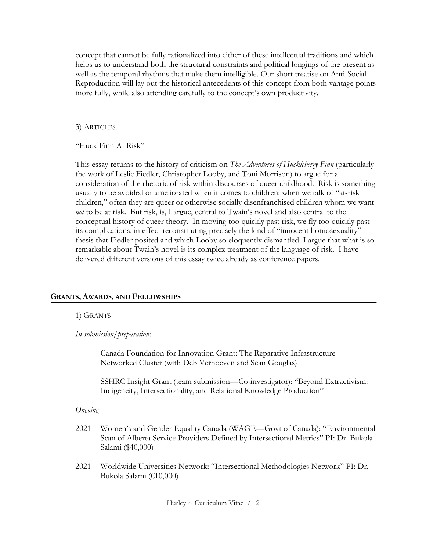concept that cannot be fully rationalized into either of these intellectual traditions and which helps us to understand both the structural constraints and political longings of the present as well as the temporal rhythms that make them intelligible. Our short treatise on Anti-Social Reproduction will lay out the historical antecedents of this concept from both vantage points more fully, while also attending carefully to the concept's own productivity.

### 3) ARTICLES

"Huck Finn At Risk"

This essay returns to the history of criticism on *The Adventures of Huckleberry Finn* (particularly the work of Leslie Fiedler, Christopher Looby, and Toni Morrison) to argue for a consideration of the rhetoric of risk within discourses of queer childhood. Risk is something usually to be avoided or ameliorated when it comes to children: when we talk of "at-risk children," often they are queer or otherwise socially disenfranchised children whom we want *not* to be at risk. But risk, is, I argue, central to Twain's novel and also central to the conceptual history of queer theory. In moving too quickly past risk, we fly too quickly past its complications, in effect reconstituting precisely the kind of "innocent homosexuality" thesis that Fiedler posited and which Looby so eloquently dismantled. I argue that what is so remarkable about Twain's novel is its complex treatment of the language of risk. I have delivered different versions of this essay twice already as conference papers.

### **GRANTS, AWARDS, AND FELLOWSHIPS**

### 1) GRANTS

*In submission/preparation*:

Canada Foundation for Innovation Grant: The Reparative Infrastructure Networked Cluster (with Deb Verhoeven and Sean Gouglas)

SSHRC Insight Grant (team submission—Co-investigator): "Beyond Extractivism: Indigeneity, Intersectionality, and Relational Knowledge Production"

#### *Ongoing*

- 2021 Women's and Gender Equality Canada (WAGE—Govt of Canada): "Environmental Scan of Alberta Service Providers Defined by Intersectional Metrics" PI: Dr. Bukola Salami (\$40,000)
- 2021 Worldwide Universities Network: "Intersectional Methodologies Network" PI: Dr. Bukola Salami (€10,000)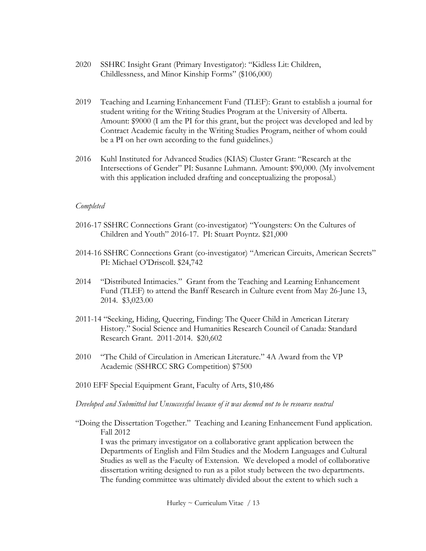- 2020 SSHRC Insight Grant (Primary Investigator): "Kidless Lit: Children, Childlessness, and Minor Kinship Forms" (\$106,000)
- 2019 Teaching and Learning Enhancement Fund (TLEF): Grant to establish a journal for student writing for the Writing Studies Program at the University of Alberta. Amount: \$9000 (I am the PI for this grant, but the project was developed and led by Contract Academic faculty in the Writing Studies Program, neither of whom could be a PI on her own according to the fund guidelines.)
- 2016 Kuhl Instituted for Advanced Studies (KIAS) Cluster Grant: "Research at the Intersections of Gender" PI: Susanne Luhmann. Amount: \$90,000. (My involvement with this application included drafting and conceptualizing the proposal.)

#### *Completed*

- 2016-17 SSHRC Connections Grant (co-investigator) "Youngsters: On the Cultures of Children and Youth" 2016-17. PI: Stuart Poyntz. \$21,000
- 2014-16 SSHRC Connections Grant (co-investigator) "American Circuits, American Secrets" PI: Michael O'Driscoll. \$24,742
- 2014 "Distributed Intimacies." Grant from the Teaching and Learning Enhancement Fund (TLEF) to attend the Banff Research in Culture event from May 26-June 13, 2014. \$3,023.00
- 2011-14 "Seeking, Hiding, Queering, Finding: The Queer Child in American Literary History." Social Science and Humanities Research Council of Canada: Standard Research Grant. 2011-2014. \$20,602
- 2010 "The Child of Circulation in American Literature." 4A Award from the VP Academic (SSHRCC SRG Competition) \$7500
- 2010 EFF Special Equipment Grant, Faculty of Arts, \$10,486

#### *Developed and Submitted but Unsuccessful because of it was deemed not to be resource neutral*

"Doing the Dissertation Together." Teaching and Leaning Enhancement Fund application. Fall 2012

I was the primary investigator on a collaborative grant application between the Departments of English and Film Studies and the Modern Languages and Cultural Studies as well as the Faculty of Extension. We developed a model of collaborative dissertation writing designed to run as a pilot study between the two departments. The funding committee was ultimately divided about the extent to which such a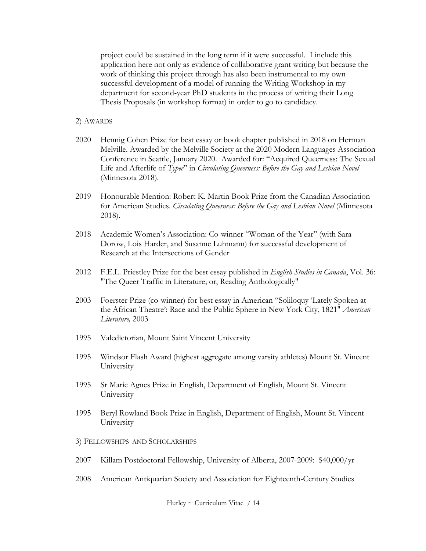project could be sustained in the long term if it were successful. I include this application here not only as evidence of collaborative grant writing but because the work of thinking this project through has also been instrumental to my own successful development of a model of running the Writing Workshop in my department for second-year PhD students in the process of writing their Long Thesis Proposals (in workshop format) in order to go to candidacy.

- 2) AWARDS
- 2020 Hennig Cohen Prize for best essay or book chapter published in 2018 on Herman Melville. Awarded by the Melville Society at the 2020 Modern Languages Association Conference in Seattle, January 2020. Awarded for: "Acquired Queerness: The Sexual Life and Afterlife of *Typee*" in *Circulating Queerness: Before the Gay and Lesbian Novel*  (Minnesota 2018).
- 2019 Honourable Mention: Robert K. Martin Book Prize from the Canadian Association for American Studies. *Circulating Queerness: Before the Gay and Lesbian Novel* (Minnesota 2018).
- 2018 Academic Women's Association: Co-winner "Woman of the Year" (with Sara Dorow, Lois Harder, and Susanne Luhmann) for successful development of Research at the Intersections of Gender
- 2012 F.E.L. Priestley Prize for the best essay published in *English Studies in Canada*, Vol. 36: "The Queer Traffic in Literature; or, Reading Anthologically"
- 2003 Foerster Prize (co-winner) for best essay in American "Soliloquy 'Lately Spoken at the African Theatre': Race and the Public Sphere in New York City, 1821" *American Literature,* 2003
- 1995 Valedictorian, Mount Saint Vincent University
- 1995 Windsor Flash Award (highest aggregate among varsity athletes) Mount St. Vincent University
- 1995 Sr Marie Agnes Prize in English, Department of English, Mount St. Vincent University
- 1995 Beryl Rowland Book Prize in English, Department of English, Mount St. Vincent University
- 3) FELLOWSHIPS AND SCHOLARSHIPS
- 2007 Killam Postdoctoral Fellowship, University of Alberta, 2007-2009: \$40,000/yr
- 2008 American Antiquarian Society and Association for Eighteenth-Century Studies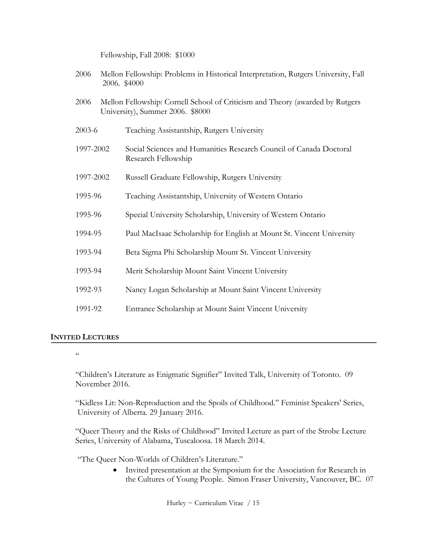Fellowship, Fall 2008: \$1000

| 2006       |  | Mellon Fellowship: Problems in Historical Interpretation, Rutgers University, Fall<br>2006. \$4000                |
|------------|--|-------------------------------------------------------------------------------------------------------------------|
| 2006       |  | Mellon Fellowship: Cornell School of Criticism and Theory (awarded by Rutgers<br>University), Summer 2006. \$8000 |
| $2003 - 6$ |  | Teaching Assistantship, Rutgers University                                                                        |
| 1997-2002  |  | Social Sciences and Humanities Research Council of Canada Doctoral<br>Research Fellowship                         |
| 1997-2002  |  | Russell Graduate Fellowship, Rutgers University                                                                   |
| 1995-96    |  | Teaching Assistantship, University of Western Ontario                                                             |
| 1995-96    |  | Special University Scholarship, University of Western Ontario                                                     |
| 1994-95    |  | Paul MacIsaac Scholarship for English at Mount St. Vincent University                                             |
| 1993-94    |  | Beta Sigma Phi Scholarship Mount St. Vincent University                                                           |
| 1993-94    |  | Merit Scholarship Mount Saint Vincent University                                                                  |
| 1992-93    |  | Nancy Logan Scholarship at Mount Saint Vincent University                                                         |
| 1991-92    |  | Entrance Scholarship at Mount Saint Vincent University                                                            |

### **INVITED LECTURES**

 $\zeta\,\zeta$ 

"Children's Literature as Enigmatic Signifier" Invited Talk, University of Toronto. 09 November 2016.

"Kidless Lit: Non-Reproduction and the Spoils of Childhood." Feminist Speakers' Series, University of Alberta. 29 January 2016.

"Queer Theory and the Risks of Childhood" Invited Lecture as part of the Strobe Lecture Series, University of Alabama, Tuscaloosa. 18 March 2014.

"The Queer Non-Worlds of Children's Literature."

• Invited presentation at the Symposium for the Association for Research in the Cultures of Young People. Simon Fraser University, Vancouver, BC. 07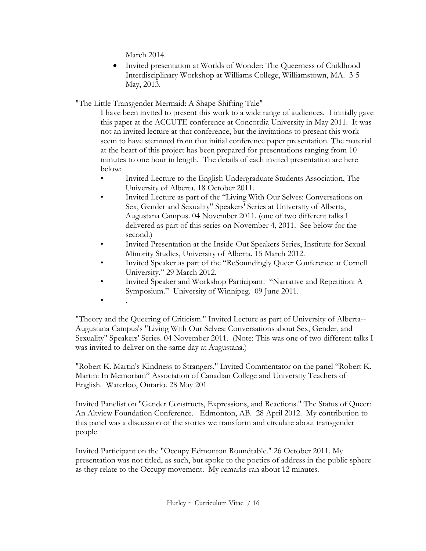March 2014.

• Invited presentation at Worlds of Wonder: The Queerness of Childhood Interdisciplinary Workshop at Williams College, Williamstown, MA. 3-5 May, 2013.

"The Little Transgender Mermaid: A Shape-Shifting Tale"

I have been invited to present this work to a wide range of audiences. I initially gave this paper at the ACCUTE conference at Concordia University in May 2011. It was not an invited lecture at that conference, but the invitations to present this work seem to have stemmed from that initial conference paper presentation. The material at the heart of this project has been prepared for presentations ranging from 10 minutes to one hour in length. The details of each invited presentation are here below:

- Invited Lecture to the English Undergraduate Students Association, The University of Alberta. 18 October 2011.
- Invited Lecture as part of the "Living With Our Selves: Conversations on Sex, Gender and Sexuality" Speakers' Series at University of Alberta, Augustana Campus. 04 November 2011. (one of two different talks I delivered as part of this series on November 4, 2011. See below for the second.)
- Invited Presentation at the Inside-Out Speakers Series, Institute for Sexual Minority Studies, University of Alberta. 15 March 2012.
- Invited Speaker as part of the "ReSoundingly Queer Conference at Cornell University." 29 March 2012.
- Invited Speaker and Workshop Participant. "Narrative and Repetition: A Symposium." University of Winnipeg. 09 June 2011.
- $\bullet$  .

"Theory and the Queering of Criticism." Invited Lecture as part of University of Alberta-- Augustana Campus's "Living With Our Selves: Conversations about Sex, Gender, and Sexuality" Speakers' Series. 04 November 2011. (Note: This was one of two different talks I was invited to deliver on the same day at Augustana.)

"Robert K. Martin's Kindness to Strangers." Invited Commentator on the panel "Robert K. Martin: In Memoriam" Association of Canadian College and University Teachers of English. Waterloo, Ontario. 28 May 201

Invited Panelist on "Gender Constructs, Expressions, and Reactions." The Status of Queer: An Altview Foundation Conference. Edmonton, AB. 28 April 2012. My contribution to this panel was a discussion of the stories we transform and circulate about transgender people

Invited Participant on the "Occupy Edmonton Roundtable." 26 October 2011. My presentation was not titled, as such, but spoke to the poetics of address in the public sphere as they relate to the Occupy movement. My remarks ran about 12 minutes.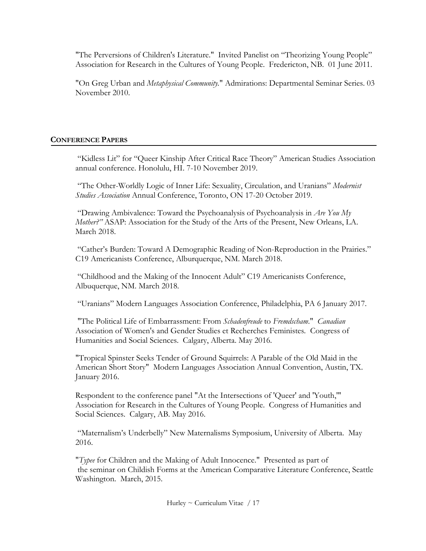"The Perversions of Children's Literature." Invited Panelist on "Theorizing Young People" Association for Research in the Cultures of Young People. Fredericton, NB. 01 June 2011.

"On Greg Urban and *Metaphysical Community.*" Admirations: Departmental Seminar Series. 03 November 2010.

## **CONFERENCE PAPERS**

"Kidless Lit" for "Queer Kinship After Critical Race Theory" American Studies Association annual conference. Honolulu, HI. 7-10 November 2019.

"The Other-Worldly Logic of Inner Life: Sexuality, Circulation, and Uranians" *Modernist Studies Association* Annual Conference, Toronto, ON 17-20 October 2019.

"Drawing Ambivalence: Toward the Psychoanalysis of Psychoanalysis in *Are You My Mother?"* ASAP: Association for the Study of the Arts of the Present, New Orleans, LA. March 2018.

"Cather's Burden: Toward A Demographic Reading of Non-Reproduction in the Prairies." C19 Americanists Conference, Alburquerque, NM. March 2018.

"Childhood and the Making of the Innocent Adult" C19 Americanists Conference, Albuquerque, NM. March 2018.

"Uranians" Modern Languages Association Conference, Philadelphia, PA 6 January 2017.

"The Political Life of Embarrassment: From *Schadenfreude* to *Fremdscham*." *Canadian*  Association of Women's and Gender Studies et Recherches Feministes*.* Congress of Humanities and Social Sciences. Calgary, Alberta. May 2016.

"Tropical Spinster Seeks Tender of Ground Squirrels: A Parable of the Old Maid in the American Short Story" Modern Languages Association Annual Convention, Austin, TX. January 2016.

Respondent to the conference panel "At the Intersections of 'Queer' and 'Youth,'" Association for Research in the Cultures of Young People. Congress of Humanities and Social Sciences. Calgary, AB. May 2016.

"Maternalism's Underbelly" New Maternalisms Symposium, University of Alberta. May 2016.

"*Typee* for Children and the Making of Adult Innocence." Presented as part of the seminar on Childish Forms at the American Comparative Literature Conference, Seattle Washington. March, 2015.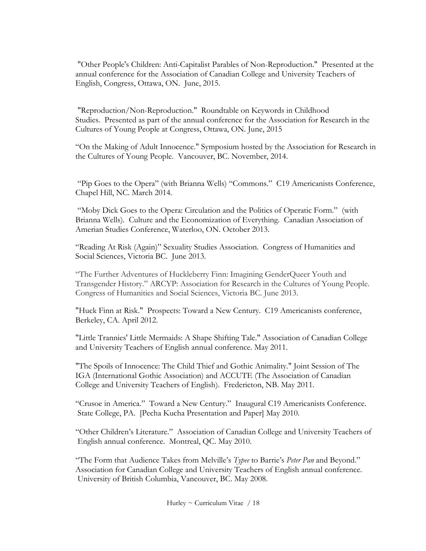"Other People's Children: Anti-Capitalist Parables of Non-Reproduction." Presented at the annual conference for the Association of Canadian College and University Teachers of English, Congress, Ottawa, ON. June, 2015.

"Reproduction/Non-Reproduction." Roundtable on Keywords in Childhood Studies. Presented as part of the annual conference for the Association for Research in the Cultures of Young People at Congress, Ottawa, ON. June, 2015

"On the Making of Adult Innocence." Symposium hosted by the Association for Research in the Cultures of Young People. Vancouver, BC. November, 2014.

"Pip Goes to the Opera" (with Brianna Wells) "Commons." C19 Americanists Conference, Chapel Hill, NC. March 2014.

"Moby Dick Goes to the Opera: Circulation and the Politics of Operatic Form." (with Brianna Wells). Culture and the Economization of Everything. Canadian Association of Amerian Studies Conference, Waterloo, ON. October 2013.

"Reading At Risk (Again)" Sexuality Studies Association. Congress of Humanities and Social Sciences, Victoria BC. June 2013.

"The Further Adventures of Huckleberry Finn: Imagining GenderQueer Youth and Transgender History." ARCYP: Association for Research in the Cultures of Young People. Congress of Humanities and Social Sciences, Victoria BC. June 2013.

"Huck Finn at Risk." Prospects: Toward a New Century. C19 Americanists conference, Berkeley, CA. April 2012.

"Little Trannies' Little Mermaids: A Shape Shifting Tale." Association of Canadian College and University Teachers of English annual conference. May 2011.

"The Spoils of Innocence: The Child Thief and Gothic Animality." Joint Session of The IGA (International Gothic Association) and ACCUTE (The Association of Canadian College and University Teachers of English). Fredericton, NB. May 2011.

"Crusoe in America." Toward a New Century." Inaugural C19 Americanists Conference. State College, PA. [Pecha Kucha Presentation and Paper] May 2010.

"Other Children's Literature." Association of Canadian College and University Teachers of English annual conference. Montreal, QC. May 2010.

"The Form that Audience Takes from Melville's *Typee* to Barrie's *Peter Pan* and Beyond." Association for Canadian College and University Teachers of English annual conference. University of British Columbia, Vancouver, BC. May 2008.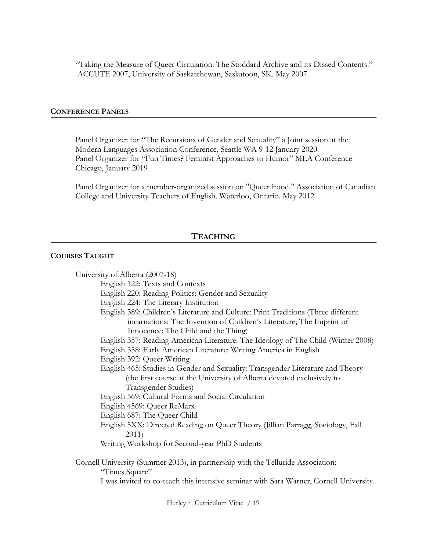"Taking the Measure of Queer Circulation: The Stoddard Archive and its Dissed Contents." ACCUTE 2007, University of Saskatchewan, Saskatoon, SK. May 2007.

#### **CONFERENCE PANELS**

Panel Organizer for "The Recursions of Gender and Sexuality" a Joint session at the Modern Languages Association Conference, Seattle WA 9-12 January 2020. Panel Organizer for "Fun Times? Feminist Approaches to Humor" MLA Conference Chicago, January 2019

Panel Organizer for a member-organized session on "Queer Food." Association of Canadian College and University Teachers of English. Waterloo, Ontario. May 2012

## **TEACHING**

### **COURSES TAUGHT**

University of Alberta (2007-18) English 122: Texts and Contexts English 220: Reading Politics: Gender and Sexuality English 224: The Literary Institution English 389: Children's Literature and Culture: Print Traditions (Three different incarnations: The Invention of Children's Literature; The Imprint of Innocence; The Child and the Thing) English 357: Reading American Literature: The Ideology of The Child (Winter 2008) English 358: Early American Literature: Writing America in English English 392: Queer Writing English 465: Studies in Gender and Sexuality: Transgender Literature and Theory (the first course at the University of Alberta devoted exclusively to Transgender Studies) English 569: Cultural Forms and Social Circulation English 4569: Queer ReMarx English 687: The Queer Child English 5XX: Directed Reading on Queer Theory (Jillian Parragg, Sociology, Fall 2011) Writing Workshop for Second-year PhD Students Cornell University (Summer 2013), in partnership with the Telluride Association: "Times Square" I was invited to co-teach this intensive seminar with Sara Warner, Cornell University.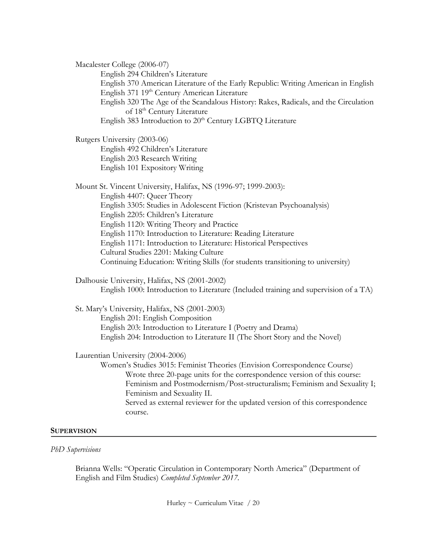Macalester College (2006-07)

English 294 Children's Literature

English 370 American Literature of the Early Republic: Writing American in English English 371 19<sup>th</sup> Century American Literature

English 320 The Age of the Scandalous History: Rakes, Radicals, and the Circulation of 18th Century Literature

English 383 Introduction to 20<sup>th</sup> Century LGBTQ Literature

Rutgers University (2003-06) English 492 Children's Literature English 203 Research Writing English 101 Expository Writing

Mount St. Vincent University, Halifax, NS (1996-97; 1999-2003): English 4407: Queer Theory English 3305: Studies in Adolescent Fiction (Kristevan Psychoanalysis) English 2205: Children's Literature English 1120: Writing Theory and Practice English 1170: Introduction to Literature: Reading Literature English 1171: Introduction to Literature: Historical Perspectives Cultural Studies 2201: Making Culture Continuing Education: Writing Skills (for students transitioning to university)

Dalhousie University, Halifax, NS (2001-2002) English 1000: Introduction to Literature (Included training and supervision of a TA)

St. Mary's University, Halifax, NS (2001-2003) English 201: English Composition English 203: Introduction to Literature I (Poetry and Drama) English 204: Introduction to Literature II (The Short Story and the Novel)

Laurentian University (2004-2006)

Women's Studies 3015: Feminist Theories (Envision Correspondence Course) Wrote three 20-page units for the correspondence version of this course: Feminism and Postmodernism/Post-structuralism; Feminism and Sexuality I; Feminism and Sexuality II. Served as external reviewer for the updated version of this correspondence course.

#### **SUPERVISION**

#### *PhD Supervisions*

Brianna Wells: "Operatic Circulation in Contemporary North America" (Department of English and Film Studies) *Completed September 2017.*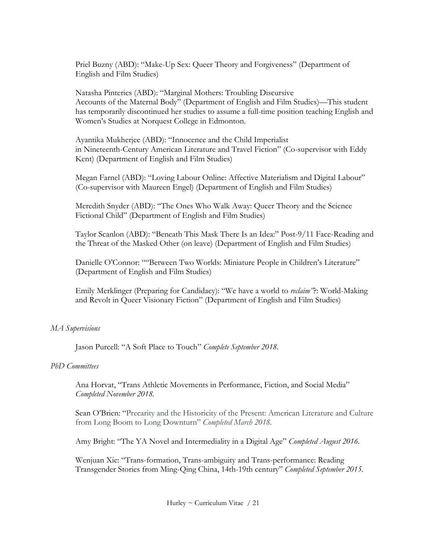Priel Buzny (ABD): "Make-Up Sex: Queer Theory and Forgiveness" (Department of English and Film Studies)

Natasha Pinterics (ABD): "Marginal Mothers: Troubling Discursive Accounts of the Maternal Body" (Department of English and Film Studies)—This student has temporarily discontinued her studies to assume a full-time position teaching English and Women's Studies at Norquest College in Edmonton.

Ayantika Mukherjee (ABD): "Innocence and the Child Imperialist in Nineteenth-Century American Literature and Travel Fiction" (Co-supervisor with Eddy Kent) (Department of English and Film Studies)

Megan Farnel (ABD): "Loving Labour Online: Affective Materialism and Digital Labour" (Co-supervisor with Maureen Engel) (Department of English and Film Studies)

Meredith Snyder (ABD): "The Ones Who Walk Away: Queer Theory and the Science Fictional Child" (Department of English and Film Studies)

Taylor Scanlon (ABD): "Beneath This Mask There Is an Idea:" Post-9/11 Face-Reading and the Threat of the Masked Other (on leave) (Department of English and Film Studies)

Danielle O'Connor: ""Between Two Worlds: Miniature People in Children's Literature" (Department of English and Film Studies)

Emily Merklinger (Preparing for Candidacy): "We have a world to *reclaim"*?: World-Making and Revolt in Queer Visionary Fiction" (Department of English and Film Studies)

### *MA Supervisions*

Jason Purcell: "A Soft Place to Touch" *Complete September 2018*.

### *PhD Committees*

Ana Horvat, "Trans Athletic Movements in Performance, Fiction, and Social Media" *Completed November 2018.*

Sean O'Brien: "Precarity and the Historicity of the Present: American Literature and Culture from Long Boom to Long Downturn" *Completed March 2018.*

Amy Bright: "The YA Novel and Intermediality in a Digital Age" *Completed August 2016.*

Wenjuan Xie: "Trans-formation, Trans-ambiguity and Trans-performance: Reading Transgender Stories from Ming-Qing China, 14th-19th century" *Completed September 2015.*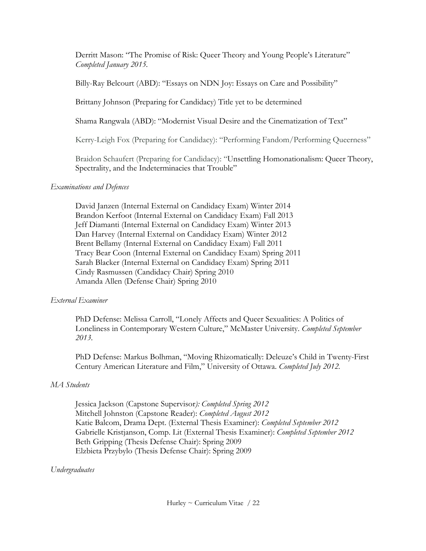Derritt Mason: "The Promise of Risk: Queer Theory and Young People's Literature" *Completed January 2015.*

Billy-Ray Belcourt (ABD): "Essays on NDN Joy: Essays on Care and Possibility"

Brittany Johnson (Preparing for Candidacy) Title yet to be determined

Shama Rangwala (ABD): "Modernist Visual Desire and the Cinematization of Text"

Kerry-Leigh Fox (Preparing for Candidacy): "Performing Fandom/Performing Queerness"

Braidon Schaufert (Preparing for Candidacy): "Unsettling Homonationalism: Queer Theory, Spectrality, and the Indeterminacies that Trouble"

### *Examinations and Defences*

David Janzen (Internal External on Candidacy Exam) Winter 2014 Brandon Kerfoot (Internal External on Candidacy Exam) Fall 2013 Jeff Diamanti (Internal External on Candidacy Exam) Winter 2013 Dan Harvey (Internal External on Candidacy Exam) Winter 2012 Brent Bellamy (Internal External on Candidacy Exam) Fall 2011 Tracy Bear Coon (Internal External on Candidacy Exam) Spring 2011 Sarah Blacker (Internal External on Candidacy Exam) Spring 2011 Cindy Rasmussen (Candidacy Chair) Spring 2010 Amanda Allen (Defense Chair) Spring 2010

## *External Examiner*

PhD Defense: Melissa Carroll, "Lonely Affects and Queer Sexualities: A Politics of Loneliness in Contemporary Western Culture," McMaster University. *Completed September 2013.*

PhD Defense: Markus Bolhman, "Moving Rhizomatically: Deleuze's Child in Twenty-First Century American Literature and Film," University of Ottawa. *Completed July 2012.*

## *MA Students*

Jessica Jackson (Capstone Supervisor*): Completed Spring 2012* Mitchell Johnston (Capstone Reader): *Completed August 2012* Katie Balcom, Drama Dept. (External Thesis Examiner): *Completed September 2012* Gabrielle Kristjanson, Comp. Lit (External Thesis Examiner): *Completed September 2012* Beth Gripping (Thesis Defense Chair): Spring 2009 Elzbieta Przybylo (Thesis Defense Chair): Spring 2009

## *Undergraduates*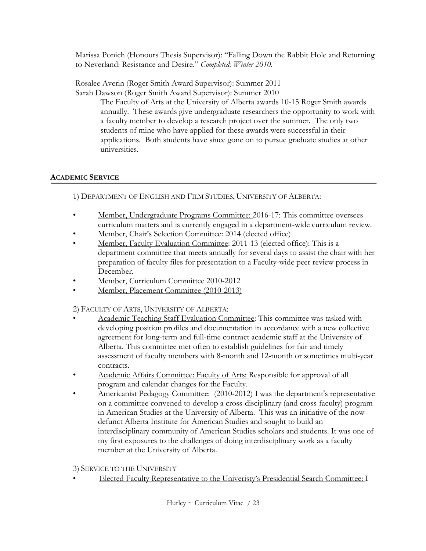Marissa Ponich (Honours Thesis Supervisor): "Falling Down the Rabbit Hole and Returning to Neverland: Resistance and Desire." *Completed: Winter 2010.*

Rosalee Averin (Roger Smith Award Supervisor): Summer 2011 Sarah Dawson (Roger Smith Award Supervisor): Summer 2010

The Faculty of Arts at the University of Alberta awards 10-15 Roger Smith awards annually. These awards give undergraduate researchers the opportunity to work with a faculty member to develop a research project over the summer. The only two students of mine who have applied for these awards were successful in their applications. Both students have since gone on to pursue graduate studies at other universities.

### **ACADEMIC SERVICE**

1) DEPARTMENT OF ENGLISH AND FILM STUDIES, UNIVERSITY OF ALBERTA:

- Member, Undergraduate Programs Committee: 2016-17: This committee oversees curriculum matters and is currently engaged in a department-wide curriculum review.
- Member, Chair's Selection Committee: 2014 (elected office)
- Member, Faculty Evaluation Committee: 2011-13 (elected office): This is a department committee that meets annually for several days to assist the chair with her preparation of faculty files for presentation to a Faculty-wide peer review process in December.
- Member, Curriculum Committee 2010-2012
- Member, Placement Committee (2010-2013)

2) FACULTY OF ARTS, UNIVERSITY OF ALBERTA:

- Academic Teaching Staff Evaluation Committee: This committee was tasked with developing position profiles and documentation in accordance with a new collective agreement for long-term and full-time contract academic staff at the University of Alberta. This committee met often to establish guidelines for fair and timely assessment of faculty members with 8-month and 12-month or sometimes multi-year contracts.
- Academic Affairs Committee: Faculty of Arts: Responsible for approval of all program and calendar changes for the Faculty.
- Americanist Pedagogy Committee: (2010-2012) I was the department's representative on a committee convened to develop a cross-disciplinary (and cross-faculty) program in American Studies at the University of Alberta. This was an initiative of the nowdefunct Alberta Institute for American Studies and sought to build an interdisciplinary community of American Studies scholars and students. It was one of my first exposures to the challenges of doing interdisciplinary work as a faculty member at the University of Alberta.

3) SERVICE TO THE UNIVERSITY

• Elected Faculty Representative to the Univeristy's Presidential Search Committee: I